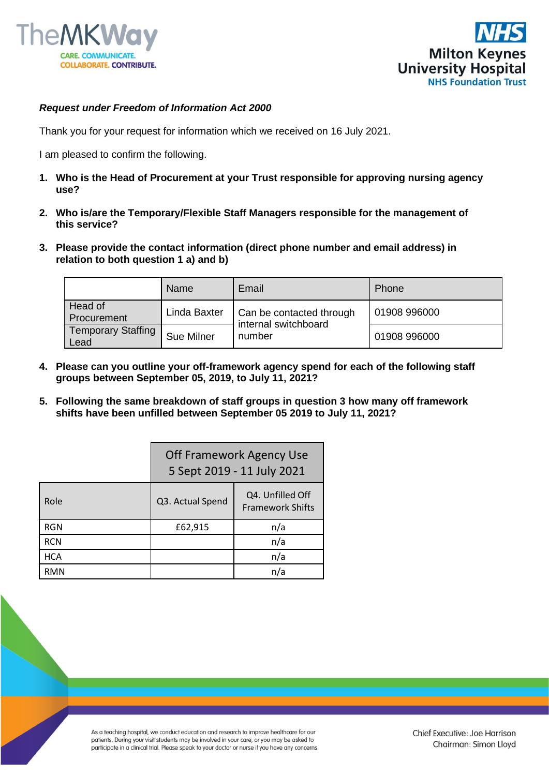



## *Request under Freedom of Information Act 2000*

Thank you for your request for information which we received on 16 July 2021.

I am pleased to confirm the following.

- **1. Who is the Head of Procurement at your Trust responsible for approving nursing agency use?**
- **2. Who is/are the Temporary/Flexible Staff Managers responsible for the management of this service?**
- **3. Please provide the contact information (direct phone number and email address) in relation to both question 1 a) and b)**

|                                   | Name         | Email                                                      | Phone        |
|-----------------------------------|--------------|------------------------------------------------------------|--------------|
| Head of<br>Procurement            | Linda Baxter | Can be contacted through<br>internal switchboard<br>number | 01908 996000 |
| <b>Temporary Staffing</b><br>Lead | Sue Milner   |                                                            | 01908 996000 |

- **4. Please can you outline your off-framework agency spend for each of the following staff groups between September 05, 2019, to July 11, 2021?**
- **5. Following the same breakdown of staff groups in question 3 how many off framework shifts have been unfilled between September 05 2019 to July 11, 2021?**

|            | Off Framework Agency Use<br>5 Sept 2019 - 11 July 2021 |                                             |  |
|------------|--------------------------------------------------------|---------------------------------------------|--|
| Role       | Q3. Actual Spend                                       | Q4. Unfilled Off<br><b>Framework Shifts</b> |  |
| <b>RGN</b> | £62,915                                                | n/a                                         |  |
| <b>RCN</b> |                                                        | n/a                                         |  |
| <b>HCA</b> |                                                        | n/a                                         |  |
| <b>RMN</b> |                                                        | n/a                                         |  |

As a teaching hospital, we conduct education and research to improve healthcare for our patients. During your visit students may be involved in your care, or you may be asked to participate in a clinical trial. Please speak to your doctor or nurse if you have any concerns.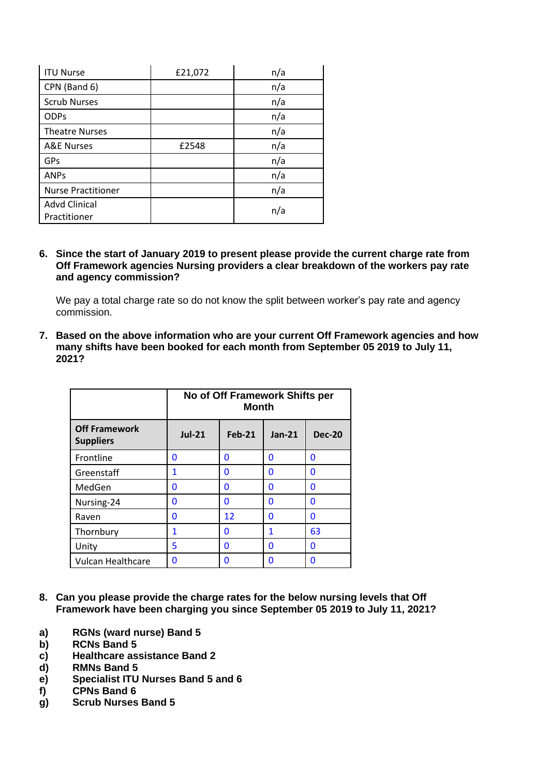| <b>ITU Nurse</b>                     | £21,072 | n/a |  |
|--------------------------------------|---------|-----|--|
| CPN (Band 6)                         |         | n/a |  |
| <b>Scrub Nurses</b>                  |         | n/a |  |
| <b>ODPs</b>                          |         | n/a |  |
| <b>Theatre Nurses</b>                |         | n/a |  |
| <b>A&amp;E Nurses</b>                | £2548   | n/a |  |
| GPs                                  |         | n/a |  |
| <b>ANPs</b>                          |         | n/a |  |
| <b>Nurse Practitioner</b>            |         | n/a |  |
| <b>Advd Clinical</b><br>Practitioner |         | n/a |  |

**6. Since the start of January 2019 to present please provide the current charge rate from Off Framework agencies Nursing providers a clear breakdown of the workers pay rate and agency commission?**

We pay a total charge rate so do not know the split between worker's pay rate and agency commission.

**7. Based on the above information who are your current Off Framework agencies and how many shifts have been booked for each month from September 05 2019 to July 11, 2021?**

|                                          | No of Off Framework Shifts per<br><b>Month</b> |               |          |               |
|------------------------------------------|------------------------------------------------|---------------|----------|---------------|
| <b>Off Framework</b><br><b>Suppliers</b> | <b>Jul-21</b>                                  | <b>Feb-21</b> | $Jan-21$ | <b>Dec-20</b> |
| Frontline                                | 0                                              | 0             | 0        | 0             |
| Greenstaff                               | 1                                              | O             | O        | 0             |
| MedGen                                   | 0                                              | 0             | 0        | 0             |
| Nursing-24                               | ŋ                                              | 0             | O        | 0             |
| Raven                                    | 0                                              | 12            | O        | 0             |
| Thornbury                                | 1                                              | 0             | 1        | 63            |
| Unity                                    | 5                                              | 0             | O        | 0             |
| <b>Vulcan Healthcare</b>                 | 0                                              | 0             | O        | 0             |

- **8. Can you please provide the charge rates for the below nursing levels that Off Framework have been charging you since September 05 2019 to July 11, 2021?**
- **a) RGNs (ward nurse) Band 5**
- **b) RCNs Band 5**
- **c) Healthcare assistance Band 2**
- **d) RMNs Band 5**
- **e) Specialist ITU Nurses Band 5 and 6**
- **f) CPNs Band 6**
- **g) Scrub Nurses Band 5**